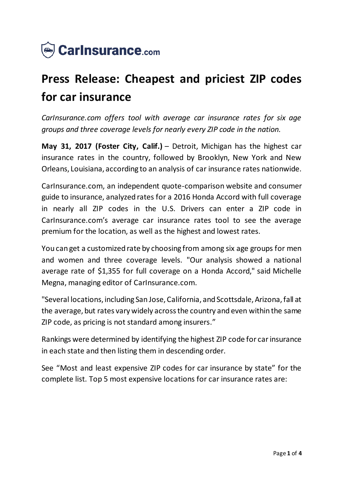

## **Press Release: Cheapest and priciest ZIP codes for car insurance**

*CarInsurance.com offers tool with average car insurance rates for six age groups and three coverage levels for nearly every ZIP code in the nation.*

**May 31, 2017 (Foster City, Calif.)** – Detroit, Michigan has the highest car insurance rates in the country, followed by Brooklyn, New York and New Orleans, Louisiana, according to an analysis of car insurance rates nationwide.

CarInsurance.com, an independent quote-comparison website and consumer guide to insurance, analyzed rates for a 2016 Honda Accord with full coverage in nearly all ZIP codes in the U.S. Drivers can enter a ZIP code in CarInsurance.com's average car insurance rates tool to see the average premium for the location, as well as the highest and lowest rates.

You can get a customized rate by choosing from among six age groups for men and women and three coverage levels. "Our analysis showed a national average rate of \$1,355 for full coverage on a Honda Accord," said Michelle Megna, managing editor of CarInsurance.com.

"Several locations, including San Jose, California, and Scottsdale, Arizona, fall at the average, but rates vary widely across the country and even within the same ZIP code, as pricing is not standard among insurers."

Rankings were determined by identifying the highest ZIP code for car insurance in each state and then listing them in descending order.

See "Most and least expensive ZIP codes for car insurance by state" for the complete list. Top 5 most expensive locations for car insurance rates are: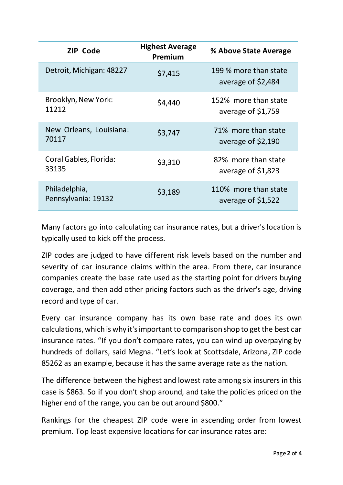| <b>ZIP Code</b>                      | <b>Highest Average</b><br>Premium | % Above State Average                       |
|--------------------------------------|-----------------------------------|---------------------------------------------|
| Detroit, Michigan: 48227             | \$7,415                           | 199 % more than state<br>average of \$2,484 |
| Brooklyn, New York:<br>11212         | \$4,440                           | 152% more than state<br>average of $$1,759$ |
| New Orleans, Louisiana:<br>70117     | \$3,747                           | 71% more than state<br>average of $$2,190$  |
| Coral Gables, Florida:<br>33135      | \$3,310                           | 82% more than state<br>average of \$1,823   |
| Philadelphia,<br>Pennsylvania: 19132 | \$3,189                           | 110% more than state<br>average of $$1,522$ |

Many factors go into calculating car insurance rates, but a driver's location is typically used to kick off the process.

ZIP codes are judged to have different risk levels based on the number and severity of car insurance claims within the area. From there, car insurance companies create the base rate used as the starting point for drivers buying coverage, and then add other pricing factors such as the driver's age, driving record and type of car.

Every car insurance company has its own base rate and does its own calculations, which is why it's important to comparison shop to get the best car insurance rates. "If you don't compare rates, you can wind up overpaying by hundreds of dollars, said Megna. "Let's look at Scottsdale, Arizona, ZIP code 85262 as an example, because it has the same average rate as the nation.

The difference between the highest and lowest rate among six insurers in this case is \$863. So if you don't shop around, and take the policies priced on the higher end of the range, you can be out around \$800."

Rankings for the cheapest ZIP code were in ascending order from lowest premium. Top least expensive locations for car insurance rates are: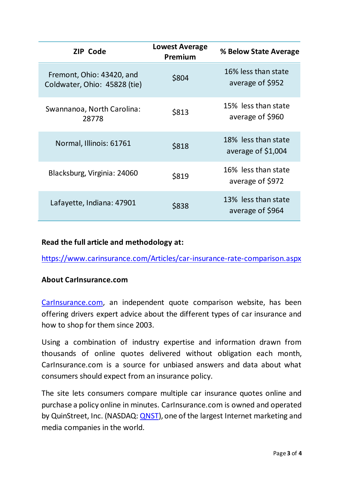| <b>ZIP Code</b>                                           | <b>Lowest Average</b><br>Premium | % Below State Average                      |
|-----------------------------------------------------------|----------------------------------|--------------------------------------------|
| Fremont, Ohio: 43420, and<br>Coldwater, Ohio: 45828 (tie) | \$804                            | 16% less than state<br>average of \$952    |
| Swannanoa, North Carolina:<br>28778                       | \$813                            | 15% less than state<br>average of \$960    |
| Normal, Illinois: 61761                                   | \$818                            | 18% less than state<br>average of $$1,004$ |
| Blacksburg, Virginia: 24060                               | \$819                            | 16% less than state<br>average of \$972    |
| Lafayette, Indiana: 47901                                 | \$838                            | 13% less than state<br>average of \$964    |

## **Read the full article and methodology at:**

[https://www.carinsurance.com/Articles/car-insurance-rate-comparison.asp](https://www.carinsurance.com/Articles/car-insurance-rate-comparison.aspx)x

## **About CarInsurance.com**

[CarInsurance.com](https://www.carinsurance.com/), an independent quote comparison website, has been offering drivers expert advice about the different types of car insurance and how to shop for them since 2003.

Using a combination of industry expertise and information drawn from thousands of online quotes delivered without obligation each month, CarInsurance.com is a source for unbiased answers and data about what consumers should expect from an insurance policy.

The site lets consumers compare multiple car insurance quotes online and purchase a policy online in minutes. CarInsurance.com is owned and operated by QuinStreet, Inc. (NASDAQ: *QNST*), one of the largest Internet marketing and media companies in the world.